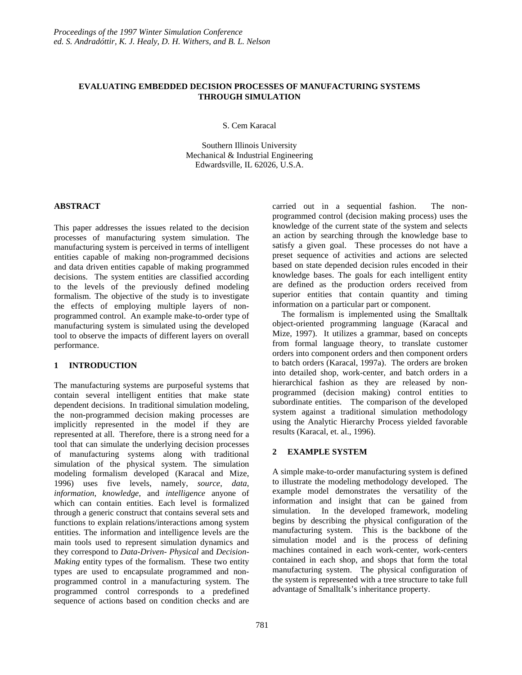# **EVALUATING EMBEDDED DECISION PROCESSES OF MANUFACTURING SYSTEMS THROUGH SIMULATION**

S. Cem Karacal

Southern Illinois University Mechanical & Industrial Engineering Edwardsville, IL 62026, U.S.A.

## **ABSTRACT**

This paper addresses the issues related to the decision processes of manufacturing system simulation. The manufacturing system is perceived in terms of intelligent entities capable of making non-programmed decisions and data driven entities capable of making programmed decisions. The system entities are classified according to the levels of the previously defined modeling formalism. The objective of the study is to investigate the effects of employing multiple layers of nonprogrammed control. An example make-to-order type of manufacturing system is simulated using the developed tool to observe the impacts of different layers on overall performance.

# **1 INTRODUCTION**

The manufacturing systems are purposeful systems that contain several intelligent entities that make state dependent decisions. In traditional simulation modeling, the non-programmed decision making processes are implicitly represented in the model if they are represented at all. Therefore, there is a strong need for a tool that can simulate the underlying decision processes of manufacturing systems along with traditional simulation of the physical system. The simulation modeling formalism developed (Karacal and Mize, 1996) uses five levels, namely, *source*, *data*, *information*, *knowledge*, and *intelligence* anyone of which can contain entities. Each level is formalized through a generic construct that contains several sets and functions to explain relations/interactions among system entities. The information and intelligence levels are the main tools used to represent simulation dynamics and they correspond to *Data-Driven- Physical* and *Decision-Making* entity types of the formalism. These two entity types are used to encapsulate programmed and nonprogrammed control in a manufacturing system. The programmed control corresponds to a predefined sequence of actions based on condition checks and are carried out in a sequential fashion. The nonprogrammed control (decision making process) uses the knowledge of the current state of the system and selects an action by searching through the knowledge base to satisfy a given goal. These processes do not have a preset sequence of activities and actions are selected based on state depended decision rules encoded in their knowledge bases. The goals for each intelligent entity are defined as the production orders received from superior entities that contain quantity and timing information on a particular part or component.

The formalism is implemented using the Smalltalk object-oriented programming language (Karacal and Mize, 1997). It utilizes a grammar, based on concepts from formal language theory, to translate customer orders into component orders and then component orders to batch orders (Karacal, 1997a). The orders are broken into detailed shop, work-center, and batch orders in a hierarchical fashion as they are released by nonprogrammed (decision making) control entities to subordinate entities. The comparison of the developed system against a traditional simulation methodology using the Analytic Hierarchy Process yielded favorable results (Karacal, et. al., 1996).

# **2 EXAMPLE SYSTEM**

A simple make-to-order manufacturing system is defined to illustrate the modeling methodology developed. The example model demonstrates the versatility of the information and insight that can be gained from simulation. In the developed framework, modeling begins by describing the physical configuration of the manufacturing system. This is the backbone of the simulation model and is the process of defining machines contained in each work-center, work-centers contained in each shop, and shops that form the total manufacturing system. The physical configuration of the system is represented with a tree structure to take full advantage of Smalltalk's inheritance property.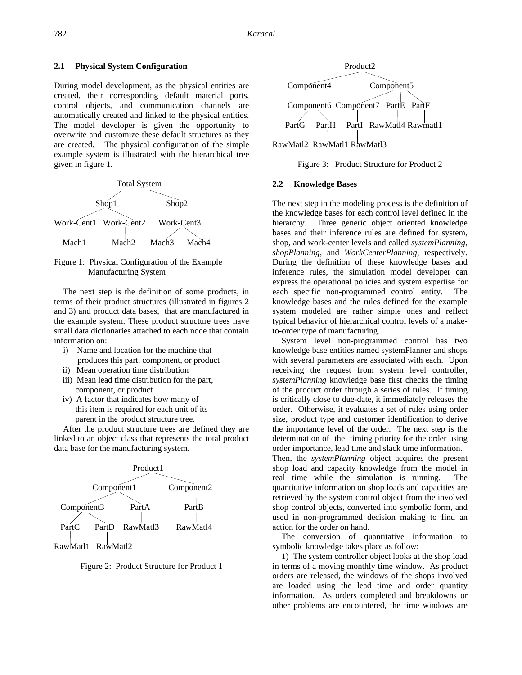#### **2.1 Physical System Configuration**

During model development, as the physical entities are created, their corresponding default material ports, control objects, and communication channels are automatically created and linked to the physical entities. The model developer is given the opportunity to overwrite and customize these default structures as they are created. The physical configuration of the simple example system is illustrated with the hierarchical tree given in figure 1.



Figure 1: Physical Configuration of the Example Manufacturing System

The next step is the definition of some products, in terms of their product structures (illustrated in figures 2 and 3) and product data bases, that are manufactured in the example system. These product structure trees have small data dictionaries attached to each node that contain information on:

- i) Name and location for the machine that produces this part, component, or product
- ii) Mean operation time distribution
- iii) Mean lead time distribution for the part, component, or product
- iv) A factor that indicates how many of this item is required for each unit of its parent in the product structure tree.

After the product structure trees are defined they are linked to an object class that represents the total product data base for the manufacturing system.



Figure 2: Product Structure for Product 1



Figure 3: Product Structure for Product 2

#### **2.2 Knowledge Bases**

The next step in the modeling process is the definition of the knowledge bases for each control level defined in the hierarchy. Three generic object oriented knowledge bases and their inference rules are defined for system, shop, and work-center levels and called *systemPlanning*, *shopPlanning*, and *WorkCenterPlanning*, respectively. During the definition of these knowledge bases and inference rules, the simulation model developer can express the operational policies and system expertise for each specific non-programmed control entity. The knowledge bases and the rules defined for the example system modeled are rather simple ones and reflect typical behavior of hierarchical control levels of a maketo-order type of manufacturing.

System level non-programmed control has two knowledge base entities named systemPlanner and shops with several parameters are associated with each. Upon receiving the request from system level controller, *systemPlanning* knowledge base first checks the timing of the product order through a series of rules. If timing is critically close to due-date, it immediately releases the order. Otherwise, it evaluates a set of rules using order size, product type and customer identification to derive the importance level of the order. The next step is the determination of the timing priority for the order using order importance, lead time and slack time information. Then, the *systemPlanning* object acquires the present shop load and capacity knowledge from the model in real time while the simulation is running. The quantitative information on shop loads and capacities are retrieved by the system control object from the involved shop control objects, converted into symbolic form, and used in non-programmed decision making to find an action for the order on hand.

The conversion of quantitative information to symbolic knowledge takes place as follow:

1) The system controller object looks at the shop load in terms of a moving monthly time window. As product orders are released, the windows of the shops involved are loaded using the lead time and order quantity information. As orders completed and breakdowns or other problems are encountered, the time windows are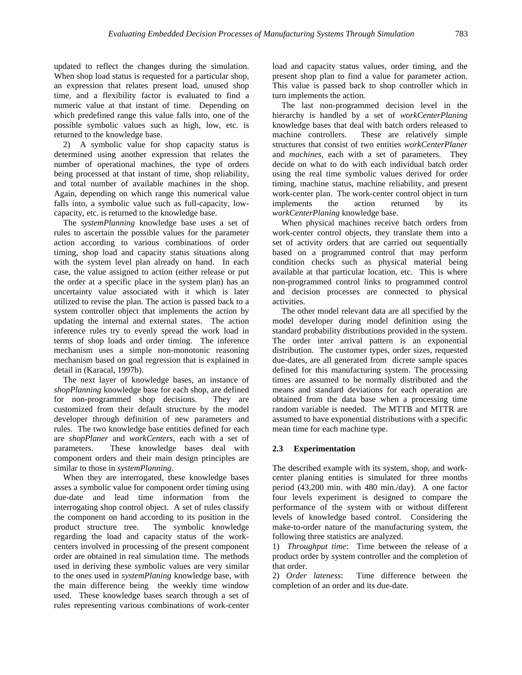updated to reflect the changes during the simulation. When shop load status is requested for a particular shop, an expression that relates present load, unused shop time, and a flexibility factor is evaluated to find a numeric value at that instant of time. Depending on which predefined range this value falls into, one of the possible symbolic values such as high, low, etc. is returned to the knowledge base.

2) A symbolic value for shop capacity status is determined using another expression that relates the number of operational machines, the type of orders being processed at that instant of time, shop reliability, and total number of available machines in the shop. Again, depending on which range this numerical value falls into, a symbolic value such as full-capacity, lowcapacity, etc. is returned to the knowledge base.

The *systemPlanning* knowledge base uses a set of rules to ascertain the possible values for the parameter action according to various combinations of order timing, shop load and capacity status situations along with the system level plan already on hand. In each case, the value assigned to action (either release or put the order at a specific place in the system plan) has an uncertainty value associated with it which is later utilized to revise the plan. The action is passed back to a system controller object that implements the action by updating the internal and external states. The action inference rules try to evenly spread the work load in terms of shop loads and order timing. The inference mechanism uses a simple non-monotonic reasoning mechanism based on goal regression that is explained in detail in (Karacal, 1997b).

The next layer of knowledge bases, an instance of *shopPlanning* knowledge base for each shop, are defined for non-programmed shop decisions. They are customized from their default structure by the model developer through definition of new parameters and rules. The two knowledge base entities defined for each are *shopPlaner* and *workCenters*, each with a set of parameters. These knowledge bases deal with component orders and their main design principles are similar to those in *systemPlanning*.

When they are interrogated, these knowledge bases asses a symbolic value for component order timing using due-date and lead time information from the interrogating shop control object. A set of rules classify the component on hand according to its position in the product structure tree. The symbolic knowledge regarding the load and capacity status of the workcenters involved in processing of the present component order are obtained in real simulation time. The methods used in deriving these symbolic values are very similar to the ones used in *systemPlaning* knowledge base, with the main difference being the weekly time window used. These knowledge bases search through a set of rules representing various combinations of work-center

load and capacity status values, order timing, and the present shop plan to find a value for parameter action. This value is passed back to shop controller which in turn implements the action.

The last non-programmed decision level in the hierarchy is handled by a set of *workCenterPlaning* knowledge bases that deal with batch orders released to machine controllers. These are relatively simple structures that consist of two entities *workCenterPlaner* and *machines*, each with a set of parameters. They decide on what to do with each individual batch order using the real time symbolic values derived for order timing, machine status, machine reliability, and present work-center plan. The work-center control object in turn implements the action returned by its *workCenterPlaning* knowledge base.

When physical machines receive batch orders from work-center control objects, they translate them into a set of activity orders that are carried out sequentially based on a programmed control that may perform condition checks such as physical material being available at that particular location, etc. This is where non-programmed control links to programmed control and decision processes are connected to physical activities.

The other model relevant data are all specified by the model developer during model definition using the standard probability distributions provided in the system. The order inter arrival pattern is an exponential distribution. The customer types, order sizes, requested due-dates, are all generated from dicrete sample spaces defined for this manufacturing system. The processing times are assumed to be normally distributed and the means and standard deviations for each operation are obtained from the data base when a processing time random variable is needed. The MTTB and MTTR are assumed to have exponential distributions with a specific mean time for each machine type.

### **2.3 Experimentation**

The described example with its system, shop, and workcenter planing entities is simulated for three months period (43,200 min. with 480 min./day). A one factor four levels experiment is designed to compare the performance of the system with or without different levels of knowledge based control. Considering the make-to-order nature of the manufacturing system, the following three statistics are analyzed.

1) *Throughput time*: Time between the release of a product order by system controller and the completion of that order.

2) *Order lateness*: Time difference between the completion of an order and its due-date.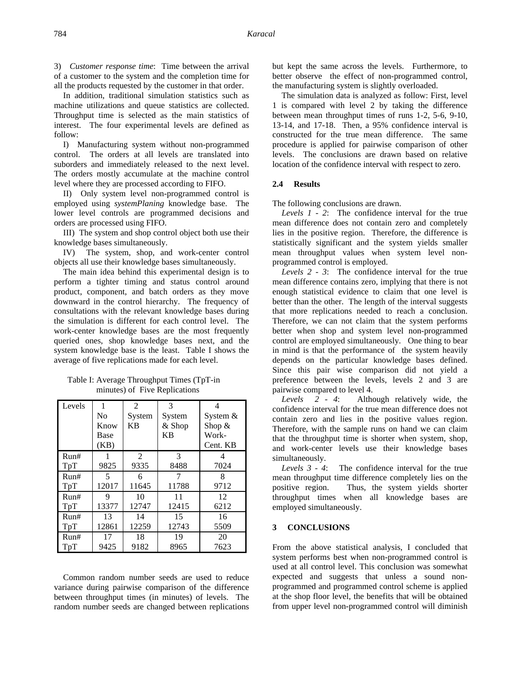3) *Customer response time*: Time between the arrival of a customer to the system and the completion time for all the products requested by the customer in that order.

In addition, traditional simulation statistics such as machine utilizations and queue statistics are collected. Throughput time is selected as the main statistics of interest. The four experimental levels are defined as follow:

I) Manufacturing system without non-programmed control. The orders at all levels are translated into suborders and immediately released to the next level. The orders mostly accumulate at the machine control level where they are processed according to FIFO.

II) Only system level non-programmed control is employed using *systemPlaning* knowledge base. The lower level controls are programmed decisions and orders are processed using FIFO.

III) The system and shop control object both use their knowledge bases simultaneously.

IV) The system, shop, and work-center control objects all use their knowledge bases simultaneously.

The main idea behind this experimental design is to perform a tighter timing and status control around product, component, and batch orders as they move downward in the control hierarchy. The frequency of consultations with the relevant knowledge bases during the simulation is different for each control level. The work-center knowledge bases are the most frequently queried ones, shop knowledge bases next, and the system knowledge base is the least. Table I shows the average of five replications made for each level.

| Table I: Average Throughput Times (TpT-in |  |  |
|-------------------------------------------|--|--|
| minutes) of Five Replications             |  |  |

| Levels | 1              | 2              | 3      | 4        |
|--------|----------------|----------------|--------|----------|
|        | N <sub>0</sub> | System         | System | System & |
|        | Know           | KB             | & Shop | Shop $&$ |
|        | Base           |                | KB     | Work-    |
|        | (KB)           |                |        | Cent. KB |
| Run#   |                | $\mathfrak{D}$ | 3      | 4        |
| TpT    | 9825           | 9335           | 8488   | 7024     |
| Run#   | 5              | 6              |        | 8        |
| TpT    | 12017          | 11645          | 11788  | 9712     |
| Run#   | 9              | 10             | 11     | 12       |
| TpT    | 13377          | 12747          | 12415  | 6212     |
| Run#   | 13             | 14             | 15     | 16       |
| TpT    | 12861          | 12259          | 12743  | 5509     |
| Run#   | 17             | 18             | 19     | 20       |
| TpT    | 9425           | 9182           | 8965   | 7623     |

Common random number seeds are used to reduce variance during pairwise comparison of the difference between throughput times (in minutes) of levels. The random number seeds are changed between replications

but kept the same across the levels. Furthermore, to better observe the effect of non-programmed control, the manufacturing system is slightly overloaded.

The simulation data is analyzed as follow: First, level 1 is compared with level 2 by taking the difference between mean throughput times of runs 1-2, 5-6, 9-10, 13-14, and 17-18. Then, a 95% confidence interval is constructed for the true mean difference. The same procedure is applied for pairwise comparison of other levels. The conclusions are drawn based on relative location of the confidence interval with respect to zero.

### **2.4 Results**

The following conclusions are drawn.

*Levels 1 - 2*: The confidence interval for the true mean difference does not contain zero and completely lies in the positive region. Therefore, the difference is statistically significant and the system yields smaller mean throughput values when system level nonprogrammed control is employed.

*Levels 2 - 3*: The confidence interval for the true mean difference contains zero, implying that there is not enough statistical evidence to claim that one level is better than the other. The length of the interval suggests that more replications needed to reach a conclusion. Therefore, we can not claim that the system performs better when shop and system level non-programmed control are employed simultaneously. One thing to bear in mind is that the performance of the system heavily depends on the particular knowledge bases defined. Since this pair wise comparison did not yield a preference between the levels, levels 2 and 3 are pairwise compared to level 4.

*Levels 2 - 4*: Although relatively wide, the confidence interval for the true mean difference does not contain zero and lies in the positive values region. Therefore, with the sample runs on hand we can claim that the throughput time is shorter when system, shop, and work-center levels use their knowledge bases simultaneously.

*Levels 3 - 4*: The confidence interval for the true mean throughput time difference completely lies on the positive region. Thus, the system yields shorter throughput times when all knowledge bases are employed simultaneously.

#### **3 CONCLUSIONS**

From the above statistical analysis, I concluded that system performs best when non-programmed control is used at all control level. This conclusion was somewhat expected and suggests that unless a sound nonprogrammed and programmed control scheme is applied at the shop floor level, the benefits that will be obtained from upper level non-programmed control will diminish